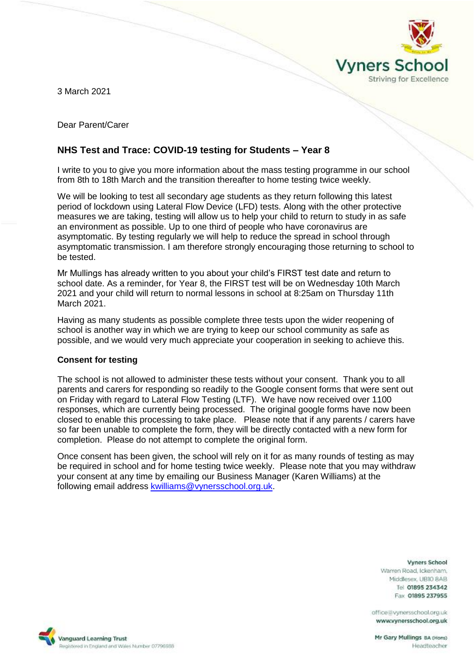

3 March 2021

Dear Parent/Carer

# **NHS Test and Trace: COVID-19 testing for Students – Year 8**

I write to you to give you more information about the mass testing programme in our school from 8th to 18th March and the transition thereafter to home testing twice weekly.

We will be looking to test all secondary age students as they return following this latest period of lockdown using Lateral Flow Device (LFD) tests. Along with the other protective measures we are taking, testing will allow us to help your child to return to study in as safe an environment as possible. Up to one third of people who have coronavirus are asymptomatic. By testing regularly we will help to reduce the spread in school through asymptomatic transmission. I am therefore strongly encouraging those returning to school to be tested.

Mr Mullings has already written to you about your child's FIRST test date and return to school date. As a reminder, for Year 8, the FIRST test will be on Wednesday 10th March 2021 and your child will return to normal lessons in school at 8:25am on Thursday 11th March 2021.

Having as many students as possible complete three tests upon the wider reopening of school is another way in which we are trying to keep our school community as safe as possible, and we would very much appreciate your cooperation in seeking to achieve this.

# **Consent for testing**

The school is not allowed to administer these tests without your consent. Thank you to all parents and carers for responding so readily to the Google consent forms that were sent out on Friday with regard to Lateral Flow Testing (LTF). We have now received over 1100 responses, which are currently being processed. The original google forms have now been closed to enable this processing to take place. Please note that if any parents / carers have so far been unable to complete the form, they will be directly contacted with a new form for completion. Please do not attempt to complete the original form.

Once consent has been given, the school will rely on it for as many rounds of testing as may be required in school and for home testing twice weekly. Please note that you may withdraw your consent at any time by emailing our Business Manager (Karen Williams) at the following email address [kwilliams@vynersschool.org.uk.](mailto:kwilliams@vynersschool.org.uk)

#### **Vyners School**

Warren Road, Ickenham. Middlesex UBIO 8AB Tel 01895 234342 Fax 01895 237955

office@vynersschool.org.uk www.vynersschool.org.uk

Mr Gary Mullings BA (Hons) Headteacher

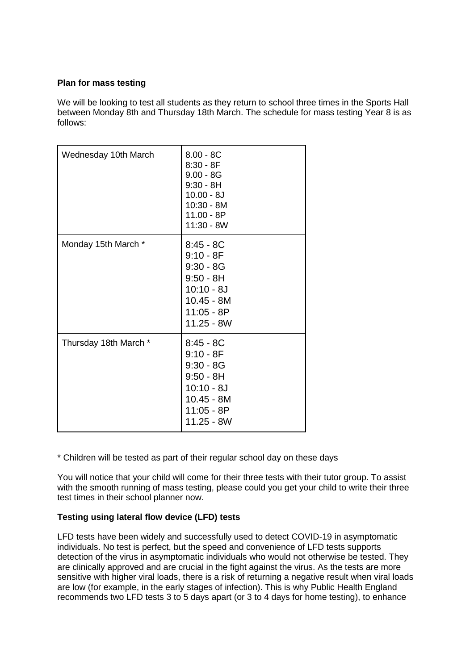# **Plan for mass testing**

We will be looking to test all students as they return to school three times in the Sports Hall between Monday 8th and Thursday 18th March. The schedule for mass testing Year 8 is as follows:

| Wednesday 10th March  | $8.00 - 8C$<br>$8:30 - 8F$<br>$9.00 - 8G$<br>$9:30 - 8H$<br>$10.00 - 8J$<br>10:30 - 8M<br>$11.00 - 8P$<br>$11:30 - 8W$   |
|-----------------------|--------------------------------------------------------------------------------------------------------------------------|
| Monday 15th March *   | $8:45 - 8C$<br>$9:10 - 8F$<br>$9:30 - 8G$<br>$9:50 - 8H$<br>$10:10 - 8J$<br>$10.45 - 8M$<br>$11:05 - 8P$<br>$11.25 - 8W$ |
| Thursday 18th March * | $8:45 - 8C$<br>$9:10 - 8F$<br>$9:30 - 8G$<br>$9:50 - 8H$<br>$10:10 - 8J$<br>$10.45 - 8M$<br>$11:05 - 8P$<br>$11.25 - 8W$ |

\* Children will be tested as part of their regular school day on these days

You will notice that your child will come for their three tests with their tutor group. To assist with the smooth running of mass testing, please could you get your child to write their three test times in their school planner now.

# **Testing using lateral flow device (LFD) tests**

LFD tests have been widely and successfully used to detect COVID-19 in asymptomatic individuals. No test is perfect, but the speed and convenience of LFD tests supports detection of the virus in asymptomatic individuals who would not otherwise be tested. They are clinically approved and are crucial in the fight against the virus. As the tests are more sensitive with higher viral loads, there is a risk of returning a negative result when viral loads are low (for example, in the early stages of infection). This is why Public Health England recommends two LFD tests 3 to 5 days apart (or 3 to 4 days for home testing), to enhance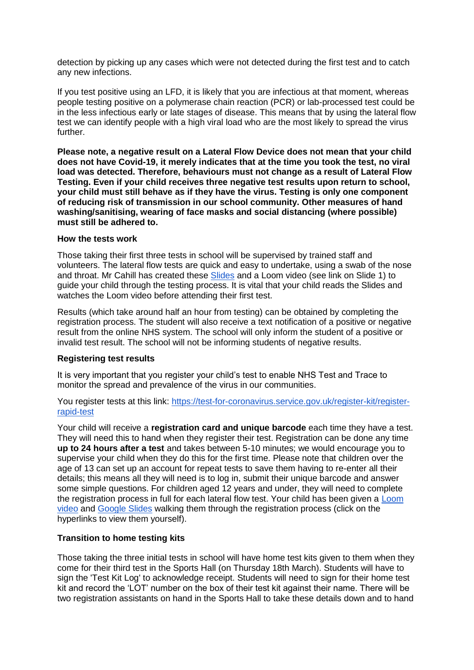detection by picking up any cases which were not detected during the first test and to catch any new infections.

If you test positive using an LFD, it is likely that you are infectious at that moment, whereas people testing positive on a polymerase chain reaction (PCR) or lab-processed test could be in the less infectious early or late stages of disease. This means that by using the lateral flow test we can identify people with a high viral load who are the most likely to spread the virus further.

**Please note, a negative result on a Lateral Flow Device does not mean that your child does not have Covid-19, it merely indicates that at the time you took the test, no viral load was detected. Therefore, behaviours must not change as a result of Lateral Flow Testing. Even if your child receives three negative test results upon return to school, your child must still behave as if they have the virus. Testing is only one component of reducing risk of transmission in our school community. Other measures of hand washing/sanitising, wearing of face masks and social distancing (where possible) must still be adhered to.**

#### **How the tests work**

Those taking their first three tests in school will be supervised by trained staff and volunteers. The lateral flow tests are quick and easy to undertake, using a swab of the nose and throat. Mr Cahill has created these [Slides](https://docs.google.com/presentation/d/1gz1t-rqJkTcXn6FmRusH9uKAaRId2x0yOQJAcbk5ymU/edit?usp=sharing) and a Loom video (see link on Slide 1) to guide your child through the testing process. It is vital that your child reads the Slides and watches the Loom video before attending their first test.

Results (which take around half an hour from testing) can be obtained by completing the registration process. The student will also receive a text notification of a positive or negative result from the online NHS system. The school will only inform the student of a positive or invalid test result. The school will not be informing students of negative results.

# **Registering test results**

It is very important that you register your child's test to enable NHS Test and Trace to monitor the spread and prevalence of the virus in our communities.

You register tests at this link: [https://test-for-coronavirus.service.gov.uk/register-kit/register](https://test-for-coronavirus.service.gov.uk/register-kit/register-rapid-test)[rapid-test](https://test-for-coronavirus.service.gov.uk/register-kit/register-rapid-test)

Your child will receive a **registration card and unique barcode** each time they have a test. They will need this to hand when they register their test. Registration can be done any time **up to 24 hours after a test** and takes between 5-10 minutes; we would encourage you to supervise your child when they do this for the first time. Please note that children over the age of 13 can set up an account for repeat tests to save them having to re-enter all their details; this means all they will need is to log in, submit their unique barcode and answer some simple questions. For children aged 12 years and under, they will need to complete the registration process in full for each lateral flow test. Your child has been given a Loom [video](https://www.loom.com/share/aea42cd2f9124e51b03fe8972f9a3583) and [Google Slides](https://docs.google.com/presentation/d/11chsOQ94u8ECZV-K7yZ9nf1DvangLK9Y0KLWEpb9z-A/edit?usp=sharing) walking them through the registration process (click on the hyperlinks to view them yourself).

#### **Transition to home testing kits**

Those taking the three initial tests in school will have home test kits given to them when they come for their third test in the Sports Hall (on Thursday 18th March). Students will have to sign the 'Test Kit Log' to acknowledge receipt. Students will need to sign for their home test kit and record the 'LOT' number on the box of their test kit against their name. There will be two registration assistants on hand in the Sports Hall to take these details down and to hand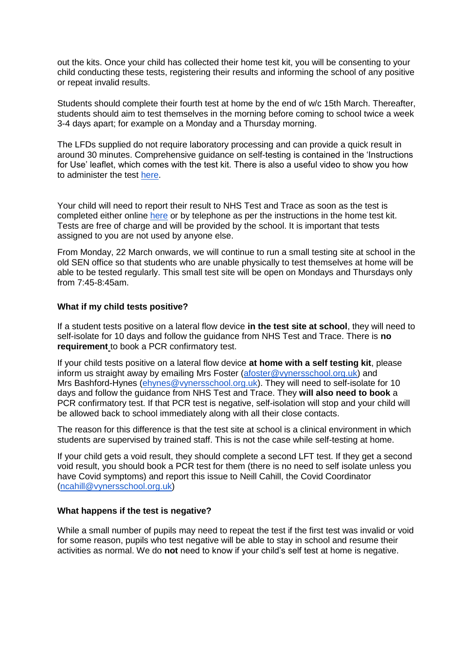out the kits. Once your child has collected their home test kit, you will be consenting to your child conducting these tests, registering their results and informing the school of any positive or repeat invalid results.

Students should complete their fourth test at home by the end of w/c 15th March. Thereafter, students should aim to test themselves in the morning before coming to school twice a week 3-4 days apart; for example on a Monday and a Thursday morning.

The LFDs supplied do not require laboratory processing and can provide a quick result in around 30 minutes. Comprehensive guidance on self-testing is contained in the 'Instructions for Use' leaflet, which comes with the test kit. There is also a useful video to show you how to administer the test [here.](https://www.youtube.com/playlist?list=PLvaBZskxS7tzQYlVg7lwH5uxAD9UrSzGJ)

Your child will need to report their result to NHS Test and Trace as soon as the test is completed either online [here](https://www.gov.uk/report-covid19-result) or by telephone as per the instructions in the home test kit. Tests are free of charge and will be provided by the school. It is important that tests assigned to you are not used by anyone else.

From Monday, 22 March onwards, we will continue to run a small testing site at school in the old SEN office so that students who are unable physically to test themselves at home will be able to be tested regularly. This small test site will be open on Mondays and Thursdays only from 7:45-8:45am.

## **What if my child tests positive?**

If a student tests positive on a lateral flow device **in the test site at school**, they will need to self-isolate for 10 days and follow the guidance from NHS Test and Trace. There is **no requirement** to book a PCR confirmatory test.

If your child tests positive on a lateral flow device **at home with a self testing kit**, please inform us straight away by emailing Mrs Foster [\(afoster@vynersschool.org.uk\)](mailto:afoster@vynersschool.org.uk) and Mrs Bashford-Hynes [\(ehynes@vynersschool.org.uk\)](mailto:ehynes@vynersschool.org.uk). They will need to self-isolate for 10 days and follow the guidance from NHS Test and Trace. They **will also need to book** a PCR confirmatory test. If that PCR test is negative, self-isolation will stop and your child will be allowed back to school immediately along with all their close contacts.

The reason for this difference is that the test site at school is a clinical environment in which students are supervised by trained staff. This is not the case while self-testing at home.

If your child gets a void result, they should complete a second LFT test. If they get a second void result, you should book a PCR test for them (there is no need to self isolate unless you have Covid symptoms) and report this issue to Neill Cahill, the Covid Coordinator [\(ncahill@vynersschool.org.uk\)](mailto:ncahill@vynersschool.org.uk)

#### **What happens if the test is negative?**

While a small number of pupils may need to repeat the test if the first test was invalid or void for some reason, pupils who test negative will be able to stay in school and resume their activities as normal. We do **not** need to know if your child's self test at home is negative.